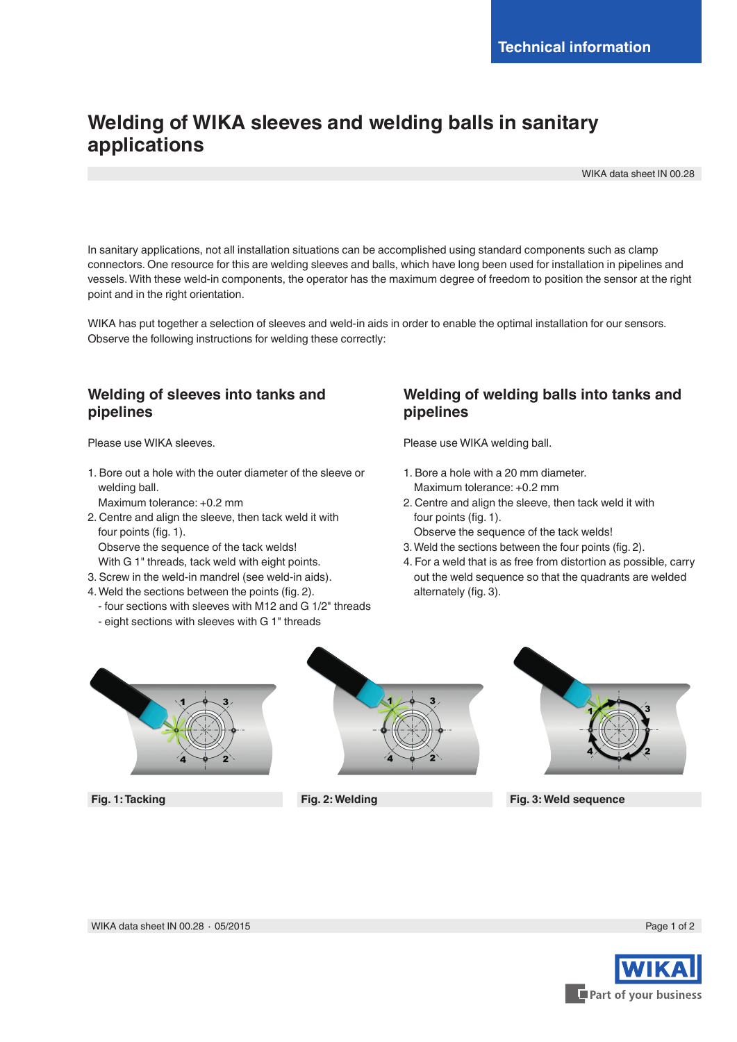# **Welding of WIKA sleeves and welding balls in sanitary applications**

WIKA data sheet IN 00.28

In sanitary applications, not all installation situations can be accomplished using standard components such as clamp connectors. One resource for this are welding sleeves and balls, which have long been used for installation in pipelines and vessels. With these weld-in components, the operator has the maximum degree of freedom to position the sensor at the right point and in the right orientation.

WIKA has put together a selection of sleeves and weld-in aids in order to enable the optimal installation for our sensors. Observe the following instructions for welding these correctly:

## **Welding of sleeves into tanks and pipelines**

Please use WIKA sleeves.

1. Bore out a hole with the outer diameter of the sleeve or welding ball.

Maximum tolerance: +0.2 mm

- 2. Centre and align the sleeve, then tack weld it with four points (fig. 1).
	- Observe the sequence of the tack welds!
	- With G 1" threads, tack weld with eight points.
- 3. Screw in the weld-in mandrel (see weld-in aids).
- 4. Weld the sections between the points (fig. 2).
	- four sections with sleeves with M12 and G 1/2" threads
	- eight sections with sleeves with G 1" threads

### **Welding of welding balls into tanks and pipelines**

Please use WIKA welding ball.

- 1. Bore a hole with a 20 mm diameter. Maximum tolerance: +0.2 mm
- 2. Centre and align the sleeve, then tack weld it with four points (fig. 1).
	- Observe the sequence of the tack welds!
- 3. Weld the sections between the four points (fig. 2).
- 4. For a weld that is as free from distortion as possible, carry out the weld sequence so that the quadrants are welded alternately (fig. 3).



**Fig. 1: Tacking**





**Fig. 2: Welding Fig. 3: Weld sequence**